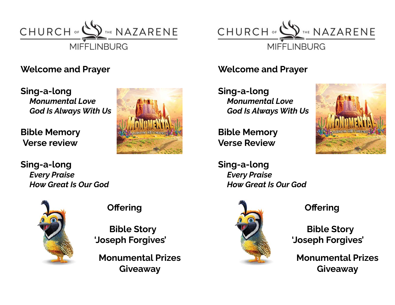

### **Welcome and Prayer**

**Sing-a-long** *Monumental Love God Is Always With Us*

**Bible Memory Verse review**



**Sing-a-long** *Every Praise How Great Is Our God*



## **Offering**

**Bible Story 'Joseph Forgives'**

**Monumental Prizes Giveaway**



### **Welcome and Prayer**

**Sing-a-long** *Monumental Love God Is Always With Us*

**Bible Memory Verse Review**



**Sing-a-long** *Every Praise How Great Is Our God*



**Offering**

**Bible Story 'Joseph Forgives'**

**Monumental Prizes Giveaway**